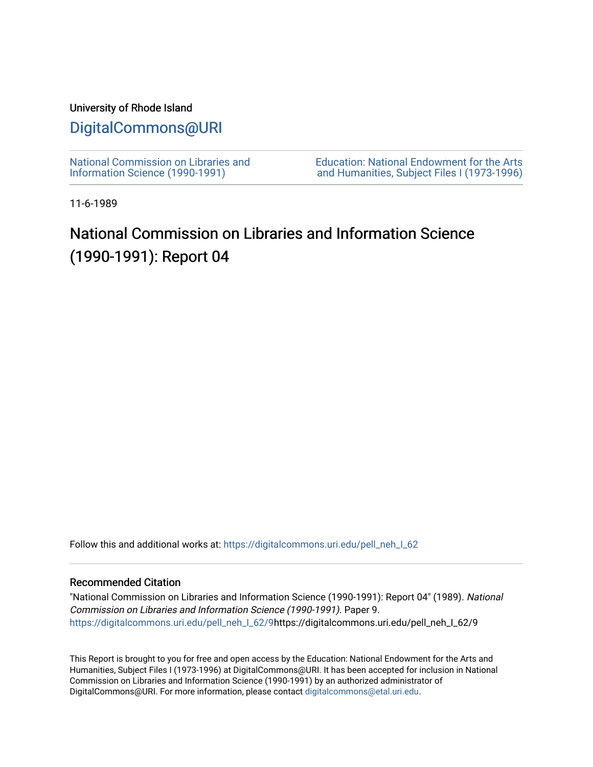## University of Rhode Island

## [DigitalCommons@URI](https://digitalcommons.uri.edu/)

[National Commission on Libraries and](https://digitalcommons.uri.edu/pell_neh_I_62) [Information Science \(1990-1991\)](https://digitalcommons.uri.edu/pell_neh_I_62) 

[Education: National Endowment for the Arts](https://digitalcommons.uri.edu/pell_neh_I)  [and Humanities, Subject Files I \(1973-1996\)](https://digitalcommons.uri.edu/pell_neh_I) 

11-6-1989

## National Commission on Libraries and Information Science (1990-1991): Report 04

Follow this and additional works at: https://digitalcommons.uri.edu/pell\_neh\_I\_62

## Recommended Citation

"National Commission on Libraries and Information Science (1990-1991): Report 04" (1989). National Commission on Libraries and Information Science (1990-1991). Paper 9. [https://digitalcommons.uri.edu/pell\\_neh\\_I\\_62/9h](https://digitalcommons.uri.edu/pell_neh_I_62/9?utm_source=digitalcommons.uri.edu%2Fpell_neh_I_62%2F9&utm_medium=PDF&utm_campaign=PDFCoverPages)ttps://digitalcommons.uri.edu/pell\_neh\_I\_62/9

This Report is brought to you for free and open access by the Education: National Endowment for the Arts and Humanities, Subject Files I (1973-1996) at DigitalCommons@URI. It has been accepted for inclusion in National Commission on Libraries and Information Science (1990-1991) by an authorized administrator of DigitalCommons@URI. For more information, please contact [digitalcommons@etal.uri.edu.](mailto:digitalcommons@etal.uri.edu)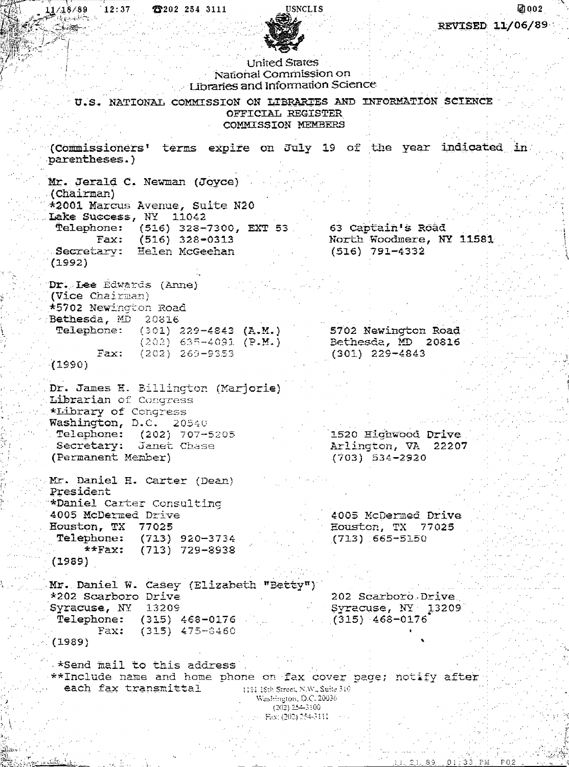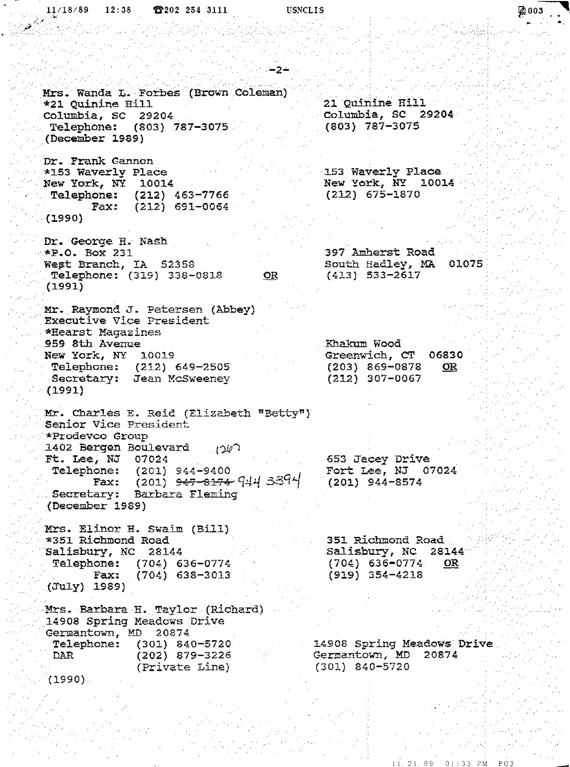$11/18/89$  $12:38$ 26202 254 3111 **USNCLIS** [2] 003  $-2-$ Mrs. Wanda L. Forbes (Brown Coleman) 21 Quinine Hill \*21 Quinine Hill Columbia, SC 29204 Columbia, SC 29204 Telephone: (803) 787-3075  $(803)$  787-3075 (December 1989) Dr. Frank Gannon 153 Waverly Place \*153 Waverly Place New York, NY 10014<br>Telephone: (212) 463-7766 New York, NY 10014  $(212) 675 - 1870$  $(212)$  691-0064 Fax:  $(1990)$ Dr. George H. Nash 397 Amherst Road  $*P.0. Box 231$ West Branch, IA 52358 South Hadley, MA 01075 Telephone: (319) 338-0818  $(413) 533 - 2617$ <u>OR</u>  $(1991)$ Mr. Raymond J. Petersen (Abbey) Executive Vice President \*Hearst Magazines 959 8th Avenue Khakum Wood Greenwich, CT New York, NY 10019 06830  $(203)$  869-0878 Telephone: (212) 649-2505 OR  $(212)$  307-0067 Secretary: Jean McSweeney  $(1991)$ Mr. Charles E. Reid (Elizabeth "Betty") Senior Vice President \*Prodevco Group 1402 Bergen Boulevard  $(267)$ Ft. Lee, NJ 07024 653 Jacey Drive Fort Lee, NJ 07024 **Telephone:** (201) 944-9400 (201) <del>947-8174</del> 944 3394  $(201)$  944-8574 Fax: Secretary: Barbara Fleming (December 1989) Mrs. Elinor H. Swaim (Bill) \*351 Richmond Road 351 Richmond Road Salisbury, NC 28144 Salisbury, NC 28144 Telephone: (704) 636-0774  $(704)$  636-0774 OR.  $(704)$  638-3013  $(919) 354 - 4218$ Fax: (July) 1989) Mrs. Barbara H. Taylor (Richard) 14908 Spring Meadows Drive Germantown, MD 20874  $(301)$  840-5720 Telephone: 14908 Spring Meadows Drive  $(202)$  879-3226 Germantown, MD 20874 DAR  $(301)$  840-5720 (Private Line) (1990)

1, 21, 89

 $01:33$   $PM$ 

 $P03$